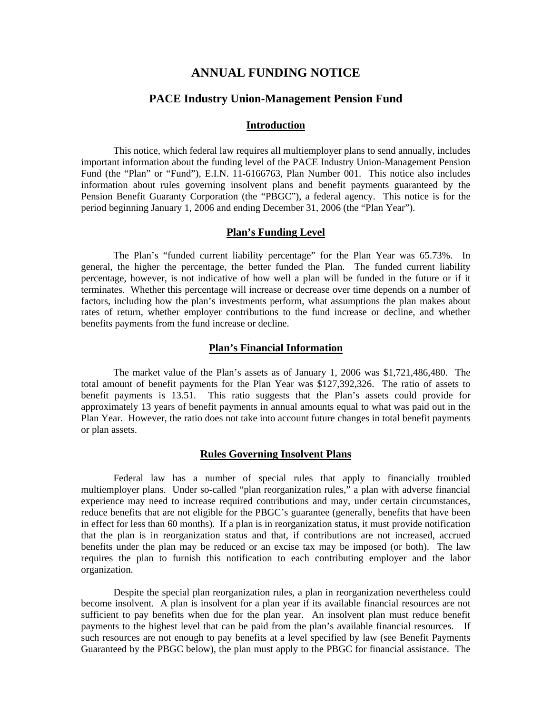# **ANNUAL FUNDING NOTICE**

# **PACE Industry Union-Management Pension Fund**

# **Introduction**

This notice, which federal law requires all multiemployer plans to send annually, includes important information about the funding level of the PACE Industry Union-Management Pension Fund (the "Plan" or "Fund"), E.I.N. 11-6166763, Plan Number 001. This notice also includes information about rules governing insolvent plans and benefit payments guaranteed by the Pension Benefit Guaranty Corporation (the "PBGC"), a federal agency. This notice is for the period beginning January 1, 2006 and ending December 31, 2006 (the "Plan Year").

# **Plan's Funding Level**

 The Plan's "funded current liability percentage" for the Plan Year was 65.73%. In general, the higher the percentage, the better funded the Plan. The funded current liability percentage, however, is not indicative of how well a plan will be funded in the future or if it terminates. Whether this percentage will increase or decrease over time depends on a number of factors, including how the plan's investments perform, what assumptions the plan makes about rates of return, whether employer contributions to the fund increase or decline, and whether benefits payments from the fund increase or decline.

### **Plan's Financial Information**

The market value of the Plan's assets as of January 1, 2006 was \$1,721,486,480. The total amount of benefit payments for the Plan Year was \$127,392,326. The ratio of assets to benefit payments is 13.51. This ratio suggests that the Plan's assets could provide for approximately 13 years of benefit payments in annual amounts equal to what was paid out in the Plan Year. However, the ratio does not take into account future changes in total benefit payments or plan assets.

### **Rules Governing Insolvent Plans**

 Federal law has a number of special rules that apply to financially troubled multiemployer plans. Under so-called "plan reorganization rules," a plan with adverse financial experience may need to increase required contributions and may, under certain circumstances, reduce benefits that are not eligible for the PBGC's guarantee (generally, benefits that have been in effect for less than 60 months). If a plan is in reorganization status, it must provide notification that the plan is in reorganization status and that, if contributions are not increased, accrued benefits under the plan may be reduced or an excise tax may be imposed (or both). The law requires the plan to furnish this notification to each contributing employer and the labor organization.

 Despite the special plan reorganization rules, a plan in reorganization nevertheless could become insolvent. A plan is insolvent for a plan year if its available financial resources are not sufficient to pay benefits when due for the plan year. An insolvent plan must reduce benefit payments to the highest level that can be paid from the plan's available financial resources. If such resources are not enough to pay benefits at a level specified by law (see Benefit Payments Guaranteed by the PBGC below), the plan must apply to the PBGC for financial assistance. The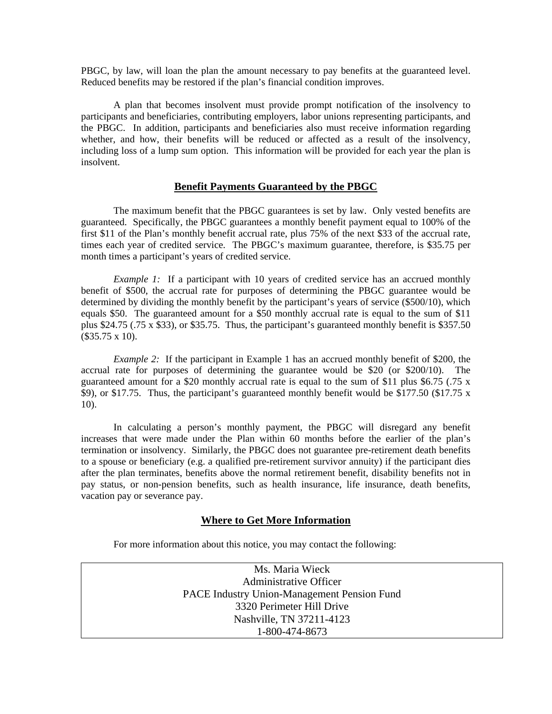PBGC, by law, will loan the plan the amount necessary to pay benefits at the guaranteed level. Reduced benefits may be restored if the plan's financial condition improves.

 A plan that becomes insolvent must provide prompt notification of the insolvency to participants and beneficiaries, contributing employers, labor unions representing participants, and the PBGC. In addition, participants and beneficiaries also must receive information regarding whether, and how, their benefits will be reduced or affected as a result of the insolvency, including loss of a lump sum option. This information will be provided for each year the plan is insolvent.

## **Benefit Payments Guaranteed by the PBGC**

The maximum benefit that the PBGC guarantees is set by law. Only vested benefits are guaranteed. Specifically, the PBGC guarantees a monthly benefit payment equal to 100% of the first \$11 of the Plan's monthly benefit accrual rate, plus 75% of the next \$33 of the accrual rate, times each year of credited service. The PBGC's maximum guarantee, therefore, is \$35.75 per month times a participant's years of credited service.

*Example 1:* If a participant with 10 years of credited service has an accrued monthly benefit of \$500, the accrual rate for purposes of determining the PBGC guarantee would be determined by dividing the monthly benefit by the participant's years of service (\$500/10), which equals \$50. The guaranteed amount for a \$50 monthly accrual rate is equal to the sum of \$11 plus \$24.75 (.75 x \$33), or \$35.75. Thus, the participant's guaranteed monthly benefit is \$357.50 (\$35.75 x 10).

*Example 2:* If the participant in Example 1 has an accrued monthly benefit of \$200, the accrual rate for purposes of determining the guarantee would be \$20 (or \$200/10). The guaranteed amount for a \$20 monthly accrual rate is equal to the sum of \$11 plus \$6.75 (.75 x \$9), or \$17.75. Thus, the participant's guaranteed monthly benefit would be \$177.50 (\$17.75 x 10).

 In calculating a person's monthly payment, the PBGC will disregard any benefit increases that were made under the Plan within 60 months before the earlier of the plan's termination or insolvency. Similarly, the PBGC does not guarantee pre-retirement death benefits to a spouse or beneficiary (e.g. a qualified pre-retirement survivor annuity) if the participant dies after the plan terminates, benefits above the normal retirement benefit, disability benefits not in pay status, or non-pension benefits, such as health insurance, life insurance, death benefits, vacation pay or severance pay.

# **Where to Get More Information**

For more information about this notice, you may contact the following:

Ms. Maria Wieck Administrative Officer PACE Industry Union-Management Pension Fund 3320 Perimeter Hill Drive Nashville, TN 37211-4123 1-800-474-8673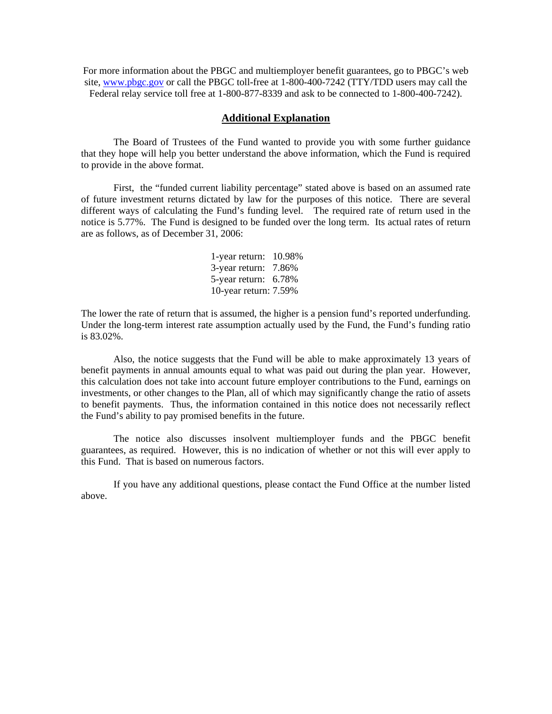For more information about the PBGC and multiemployer benefit guarantees, go to PBGC's web site, [www.pbgc.gov](http://www.pbgc.gov/) or call the PBGC toll-free at 1-800-400-7242 (TTY/TDD users may call the Federal relay service toll free at 1-800-877-8339 and ask to be connected to 1-800-400-7242).

## **Additional Explanation**

The Board of Trustees of the Fund wanted to provide you with some further guidance that they hope will help you better understand the above information, which the Fund is required to provide in the above format.

 First, the "funded current liability percentage" stated above is based on an assumed rate of future investment returns dictated by law for the purposes of this notice. There are several different ways of calculating the Fund's funding level. The required rate of return used in the notice is 5.77%. The Fund is designed to be funded over the long term. Its actual rates of return are as follows, as of December 31, 2006:

> 1-year return: 10.98% 3-year return: 7.86% 5-year return: 6.78% 10-year return: 7.59%

The lower the rate of return that is assumed, the higher is a pension fund's reported underfunding. Under the long-term interest rate assumption actually used by the Fund, the Fund's funding ratio is 83.02%.

 Also, the notice suggests that the Fund will be able to make approximately 13 years of benefit payments in annual amounts equal to what was paid out during the plan year. However, this calculation does not take into account future employer contributions to the Fund, earnings on investments, or other changes to the Plan, all of which may significantly change the ratio of assets to benefit payments. Thus, the information contained in this notice does not necessarily reflect the Fund's ability to pay promised benefits in the future.

 The notice also discusses insolvent multiemployer funds and the PBGC benefit guarantees, as required. However, this is no indication of whether or not this will ever apply to this Fund. That is based on numerous factors.

If you have any additional questions, please contact the Fund Office at the number listed above.